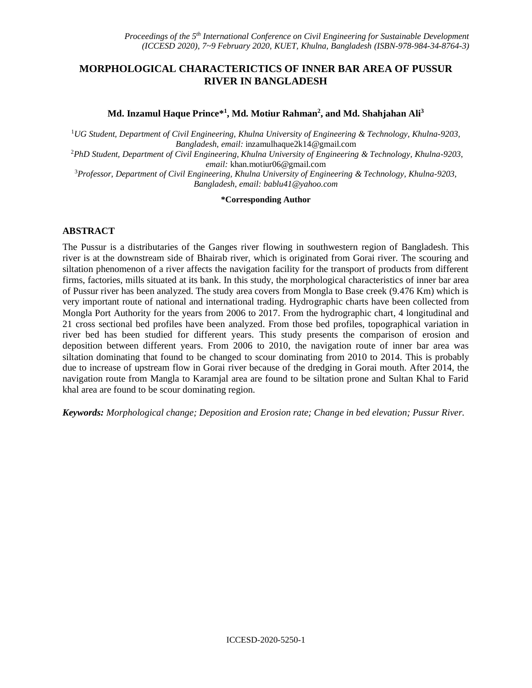## **MORPHOLOGICAL CHARACTERICTICS OF INNER BAR AREA OF PUSSUR RIVER IN BANGLADESH**

Md. Inzamul Haque Prince\*<sup>1</sup>, Md. Motiur Rahman<sup>2</sup>, and Md. Shahjahan Ali<sup>3</sup>

<sup>1</sup>*UG Student, Department of Civil Engineering, Khulna University of Engineering & Technology, Khulna-9203, Bangladesh, email:* inzamulhaque2k14@gmail.com

<sup>2</sup>*PhD Student, Department of Civil Engineering, Khulna University of Engineering & Technology, Khulna-9203, email:* khan.motiur06@gmail.com

<sup>3</sup>*Professor, Department of Civil Engineering, Khulna University of Engineering & Technology, Khulna-9203, Bangladesh, email: [bablu41@yahoo.com](mailto:bablu41@yahoo.com)*

#### **\*Corresponding Author**

#### **ABSTRACT**

The Pussur is a distributaries of the Ganges river flowing in southwestern region of Bangladesh. This river is at the downstream side of Bhairab river, which is originated from Gorai river. The scouring and siltation phenomenon of a river affects the navigation facility for the transport of products from different firms, factories, mills situated at its bank. In this study, the morphological characteristics of inner bar area of Pussur river has been analyzed. The study area covers from Mongla to Base creek (9.476 Km) which is very important route of national and international trading. Hydrographic charts have been collected from Mongla Port Authority for the years from 2006 to 2017. From the hydrographic chart, 4 longitudinal and 21 cross sectional bed profiles have been analyzed. From those bed profiles, topographical variation in river bed has been studied for different years. This study presents the comparison of erosion and deposition between different years. From 2006 to 2010, the navigation route of inner bar area was siltation dominating that found to be changed to scour dominating from 2010 to 2014. This is probably due to increase of upstream flow in Gorai river because of the dredging in Gorai mouth. After 2014, the navigation route from Mangla to Karamjal area are found to be siltation prone and Sultan Khal to Farid khal area are found to be scour dominating region.

*Keywords: Morphological change; Deposition and Erosion rate; Change in bed elevation; Pussur River.*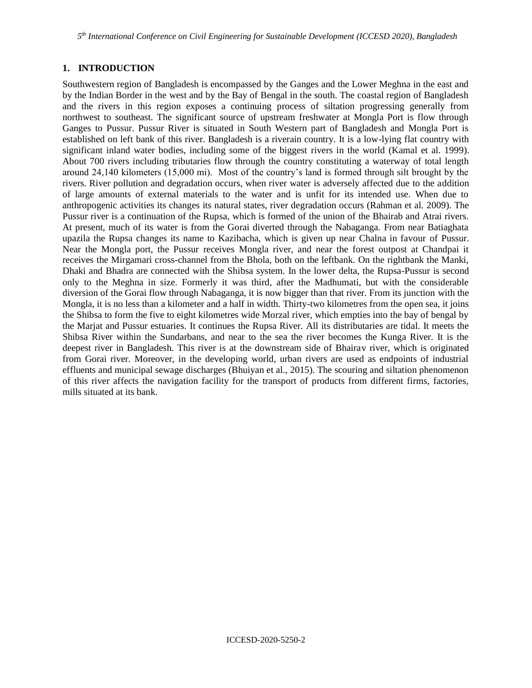### **1. INTRODUCTION**

Southwestern region of Bangladesh is encompassed by the Ganges and the Lower Meghna in the east and by the Indian Border in the west and by the Bay of Bengal in the south. The coastal region of Bangladesh and the rivers in this region exposes a continuing process of siltation progressing generally from northwest to southeast. The significant source of upstream freshwater at Mongla Port is flow through Ganges to Pussur. Pussur River is situated in South Western part of Bangladesh and Mongla Port is established on left bank of this river. Bangladesh is a riverain country. It is a low-lying flat country with significant inland water bodies, including some of the biggest rivers in the world (Kamal et al. 1999). About 700 rivers including tributaries flow through the country constituting a waterway of total length around 24,140 kilometers (15,000 mi). Most of the country's land is formed through silt brought by the rivers. River pollution and degradation occurs, when river water is adversely affected due to the addition of large amounts of external materials to the water and is unfit for its intended use. When due to anthropogenic activities its changes its natural states, river degradation occurs (Rahman et al. 2009). The Pussur river is a continuation of the Rupsa, which is formed of the union of the Bhairab and Atrai rivers. At present, much of its water is from the Gorai diverted through the Nabaganga. From near Batiaghata upazila the Rupsa changes its name to Kazibacha, which is given up near Chalna in favour of Pussur. Near the Mongla port, the Pussur receives Mongla river, and near the forest outpost at Chandpai it receives the Mirgamari cross-channel from the Bhola, both on the leftbank. On the rightbank the Manki, Dhaki and Bhadra are connected with the Shibsa system. In the lower delta, the Rupsa-Pussur is second only to the Meghna in size. Formerly it was third, after the Madhumati, but with the considerable diversion of the Gorai flow through Nabaganga, it is now bigger than that river. From its junction with the Mongla, it is no less than a kilometer and a half in width. Thirty-two kilometres from the open sea, it joins the Shibsa to form the five to eight kilometres wide Morzal river, which empties into the bay of bengal by the Marjat and Pussur estuaries. It continues the Rupsa River. All its distributaries are tidal. It meets the Shibsa River within the Sundarbans, and near to the sea the river becomes the Kunga River. It is the deepest river in Bangladesh. This river is at the downstream side of Bhairav river, which is originated from Gorai river. Moreover, in the developing world, urban rivers are used as endpoints of industrial effluents and municipal sewage discharges (Bhuiyan et al., 2015). The scouring and siltation phenomenon of this river affects the navigation facility for the transport of products from different firms, factories, mills situated at its bank.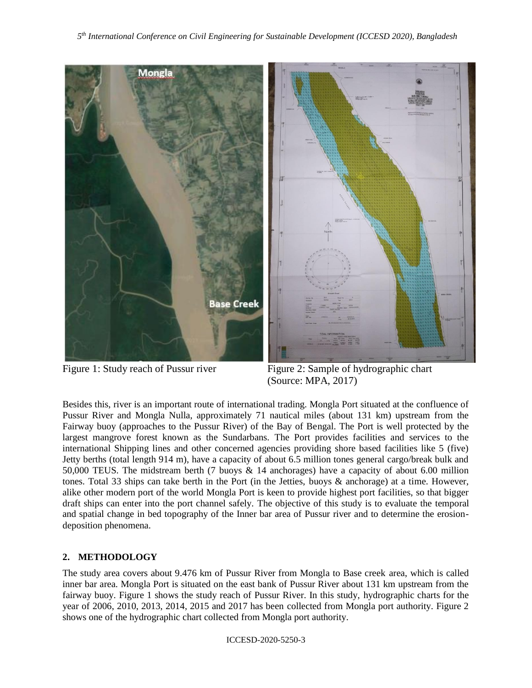

Figure 1: Study reach of Pussur river Figure 2: Sample of hydrographic chart (Source: MPA, 2017)

Besides this, river is an important route of international trading. Mongla Port situated at the confluence of Pussur River and Mongla Nulla, approximately 71 nautical miles (about 131 km) upstream from the Fairway buoy (approaches to the Pussur River) of the Bay of Bengal. The Port is well protected by the largest mangrove forest known as the Sundarbans. The Port provides facilities and services to the international Shipping lines and other concerned agencies providing shore based facilities like 5 (five) Jetty berths (total length 914 m), have a capacity of about 6.5 million tones general cargo/break bulk and 50,000 TEUS. The midstream berth (7 buoys & 14 anchorages) have a capacity of about 6.00 million tones. Total 33 ships can take berth in the Port (in the Jetties, buoys & anchorage) at a time. However, alike other modern port of the world Mongla Port is keen to provide highest port facilities, so that bigger draft ships can enter into the port channel safely. The objective of this study is to evaluate the temporal and spatial change in bed topography of the Inner bar area of Pussur river and to determine the erosiondeposition phenomena.

# **2. METHODOLOGY**

The study area covers about 9.476 km of Pussur River from Mongla to Base creek area, which is called inner bar area. Mongla Port is situated on the east bank of Pussur River about 131 km upstream from the fairway buoy. Figure 1 shows the study reach of Pussur River. In this study, hydrographic charts for the year of 2006, 2010, 2013, 2014, 2015 and 2017 has been collected from Mongla port authority. Figure 2 shows one of the hydrographic chart collected from Mongla port authority.

ICCESD-2020-5250-3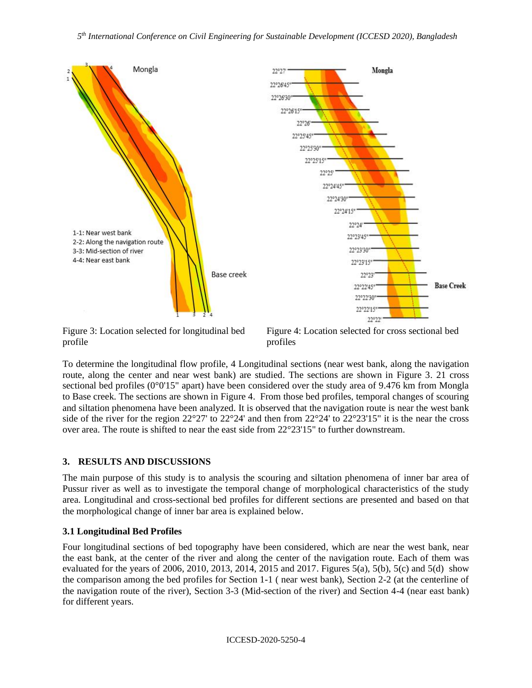

Figure 3: Location selected for longitudinal bed profile



To determine the longitudinal flow profile, 4 Longitudinal sections (near west bank, along the navigation route, along the center and near west bank) are studied. The sections are shown in Figure 3. 21 cross sectional bed profiles (0°0'15" apart) have been considered over the study area of 9.476 km from Mongla to Base creek. The sections are shown in Figure 4. From those bed profiles, temporal changes of scouring and siltation phenomena have been analyzed. It is observed that the navigation route is near the west bank side of the river for the region  $22^{\circ}27'$  to  $22^{\circ}24'$  and then from  $22^{\circ}24'$  to  $22^{\circ}23'15''$  it is the near the cross over area. The route is shifted to near the east side from 22°23'15" to further downstream.

# **3. RESULTS AND DISCUSSIONS**

The main purpose of this study is to analysis the scouring and siltation phenomena of inner bar area of Pussur river as well as to investigate the temporal change of morphological characteristics of the study area. Longitudinal and cross-sectional bed profiles for different sections are presented and based on that the morphological change of inner bar area is explained below.

# **3.1 Longitudinal Bed Profiles**

Four longitudinal sections of bed topography have been considered, which are near the west bank, near the east bank, at the center of the river and along the center of the navigation route. Each of them was evaluated for the years of 2006, 2010, 2013, 2014, 2015 and 2017. Figures 5(a), 5(b), 5(c) and 5(d) show the comparison among the bed profiles for Section 1-1 ( near west bank), Section 2-2 (at the centerline of the navigation route of the river), Section 3-3 (Mid-section of the river) and Section 4-4 (near east bank) for different years.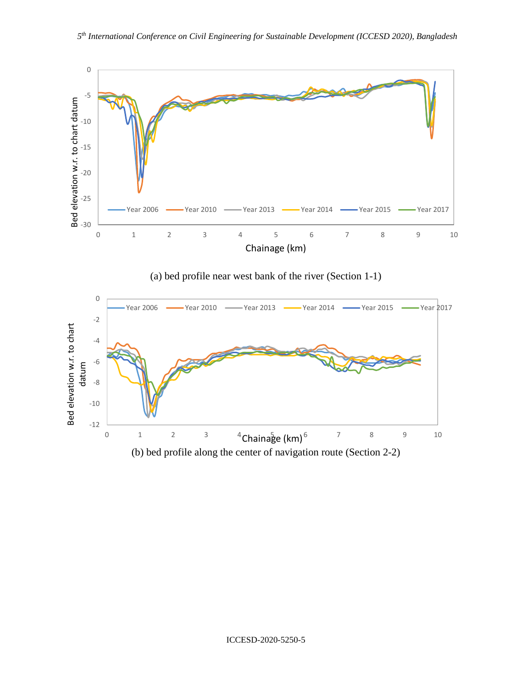

(a) bed profile near west bank of the river (Section 1-1)

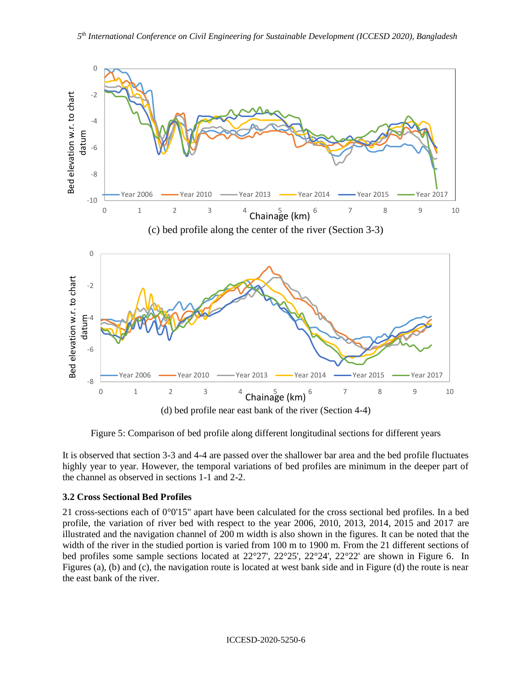

Figure 5: Comparison of bed profile along different longitudinal sections for different years

It is observed that section 3-3 and 4-4 are passed over the shallower bar area and the bed profile fluctuates highly year to year. However, the temporal variations of bed profiles are minimum in the deeper part of the channel as observed in sections 1-1 and 2-2.

### **3.2 Cross Sectional Bed Profiles**

21 cross-sections each of 0°0'15" apart have been calculated for the cross sectional bed profiles. In a bed profile, the variation of river bed with respect to the year 2006, 2010, 2013, 2014, 2015 and 2017 are illustrated and the navigation channel of 200 m width is also shown in the figures. It can be noted that the width of the river in the studied portion is varied from 100 m to 1900 m. From the 21 different sections of bed profiles some sample sections located at 22°27', 22°25', 22°24', 22°22' are shown in Figure 6. In Figures (a), (b) and (c), the navigation route is located at west bank side and in Figure (d) the route is near the east bank of the river.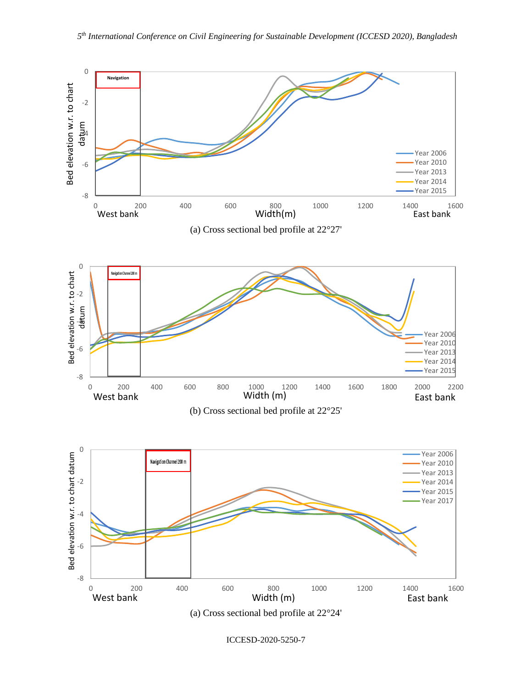

ICCESD-2020-5250-7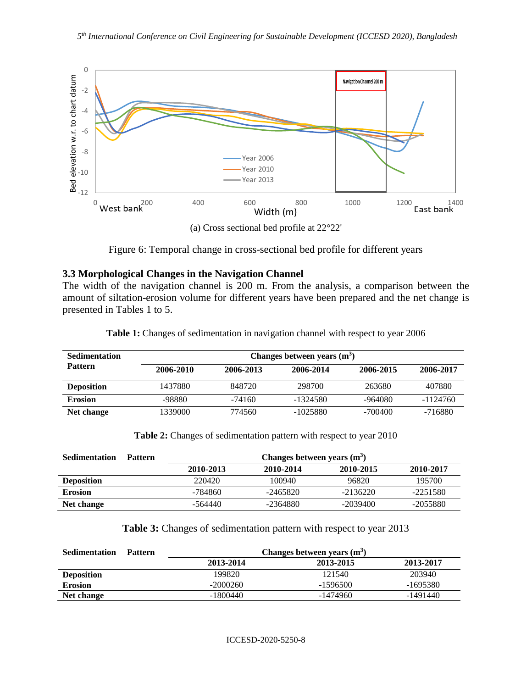

Figure 6: Temporal change in cross-sectional bed profile for different years

# **3.3 Morphological Changes in the Navigation Channel**

The width of the navigation channel is 200 m. From the analysis, a comparison between the amount of siltation-erosion volume for different years have been prepared and the net change is presented in Tables 1 to 5.

| <b>Sedimentation</b> |           |           | Changes between years $(m3)$ |           |            |
|----------------------|-----------|-----------|------------------------------|-----------|------------|
| <b>Pattern</b>       | 2006-2010 | 2006-2013 | 2006-2014                    | 2006-2015 | 2006-2017  |
| <b>Deposition</b>    | 1437880   | 848720    | 298700                       | 263680    | 407880     |
| <b>Erosion</b>       | -98880    | $-74160$  | $-1324580$                   | -964080   | $-1124760$ |
| Net change           | 1339000   | 774560    | $-1025880$                   | $-700400$ | -716880    |

**Table 1:** Changes of sedimentation in navigation channel with respect to year 2006

**Table 2:** Changes of sedimentation pattern with respect to year 2010

| <b>Sedimentation</b> | <b>Pattern</b> |           | Changes between years $(m3)$ |            |            |
|----------------------|----------------|-----------|------------------------------|------------|------------|
|                      |                | 2010-2013 | 2010-2014                    | 2010-2015  | 2010-2017  |
| <b>Deposition</b>    |                | 220420    | 100940                       | 96820      | 195700     |
| <b>Erosion</b>       |                | -784860   | $-2465820$                   | $-2136220$ | $-2251580$ |
| Net change           |                | -564440   | $-2364880$                   | $-2039400$ | $-2055880$ |

|  |  | Table 3: Changes of sedimentation pattern with respect to year 2013 |  |  |  |  |
|--|--|---------------------------------------------------------------------|--|--|--|--|
|  |  |                                                                     |  |  |  |  |

| <b>Sedimentation</b> | <b>Pattern</b> |            | Changes between years $(m^3)$ |           |
|----------------------|----------------|------------|-------------------------------|-----------|
|                      |                | 2013-2014  | 2013-2015                     | 2013-2017 |
| <b>Deposition</b>    |                | 199820     | 121540                        | 203940    |
| <b>Erosion</b>       |                | $-2000260$ | $-1596500$                    | -1695380  |
| Net change           |                | -1800440   | $-1474960$                    | -1491440  |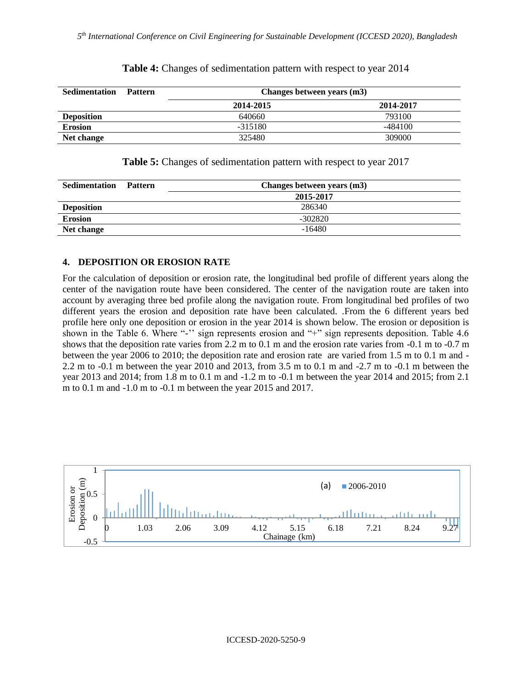| <b>Sedimentation</b> | <b>Pattern</b> | Changes between years (m3) |           |
|----------------------|----------------|----------------------------|-----------|
|                      |                | 2014-2015                  | 2014-2017 |
| <b>Deposition</b>    |                | 640660                     | 793100    |
| <b>Erosion</b>       |                | $-315180$                  | -484100   |
| Net change           |                | 325480                     | 309000    |

#### **Table 4:** Changes of sedimentation pattern with respect to year 2014

| Table 5: Changes of sedimentation pattern with respect to year 2017 |
|---------------------------------------------------------------------|
|---------------------------------------------------------------------|

| <b>Sedimentation</b> | <b>Pattern</b> | Changes between years (m3) |
|----------------------|----------------|----------------------------|
|                      |                | 2015-2017                  |
| <b>Deposition</b>    |                | 286340                     |
| <b>Erosion</b>       |                | $-302820$                  |
| Net change           |                | $-16480$                   |

#### **4. DEPOSITION OR EROSION RATE**

For the calculation of deposition or erosion rate, the longitudinal bed profile of different years along the center of the navigation route have been considered. The center of the navigation route are taken into account by averaging three bed profile along the navigation route. From longitudinal bed profiles of two different years the erosion and deposition rate have been calculated. .From the 6 different years bed profile here only one deposition or erosion in the year 2014 is shown below. The erosion or deposition is shown in the Table 6. Where "-" sign represents erosion and "+" sign represents deposition. Table 4.6 shows that the deposition rate varies from 2.2 m to 0.1 m and the erosion rate varies from -0.1 m to -0.7 m between the year 2006 to 2010; the deposition rate and erosion rate are varied from 1.5 m to 0.1 m and - 2.2 m to -0.1 m between the year 2010 and 2013, from 3.5 m to 0.1 m and -2.7 m to -0.1 m between the year 2013 and 2014; from 1.8 m to 0.1 m and -1.2 m to -0.1 m between the year 2014 and 2015; from 2.1 m to 0.1 m and -1.0 m to -0.1 m between the year 2015 and 2017.

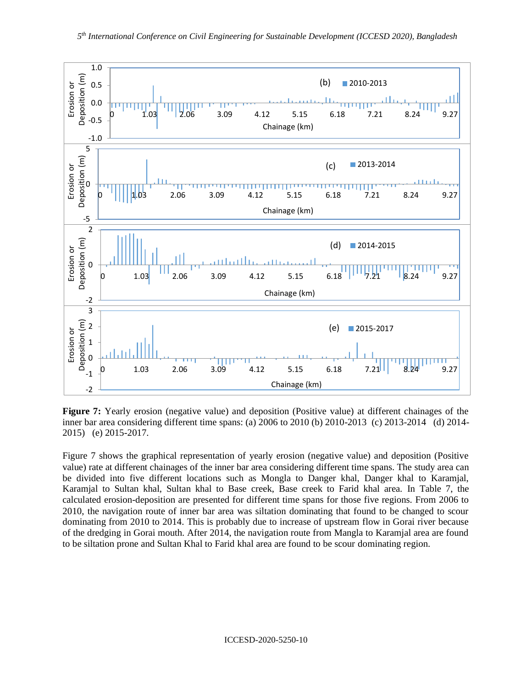

**Figure 7:** Yearly erosion (negative value) and deposition (Positive value) at different chainages of the inner bar area considering different time spans: (a) 2006 to 2010 (b) 2010-2013 (c) 2013-2014 (d) 2014- 2015) (e) 2015-2017.

Figure 7 shows the graphical representation of yearly erosion (negative value) and deposition (Positive value) rate at different chainages of the inner bar area considering different time spans. The study area can be divided into five different locations such as Mongla to Danger khal, Danger khal to Karamjal, Karamjal to Sultan khal, Sultan khal to Base creek, Base creek to Farid khal area. In Table 7, the calculated erosion-deposition are presented for different time spans for those five regions. From 2006 to 2010, the navigation route of inner bar area was siltation dominating that found to be changed to scour dominating from 2010 to 2014. This is probably due to increase of upstream flow in Gorai river because of the dredging in Gorai mouth. After 2014, the navigation route from Mangla to Karamjal area are found to be siltation prone and Sultan Khal to Farid khal area are found to be scour dominating region.